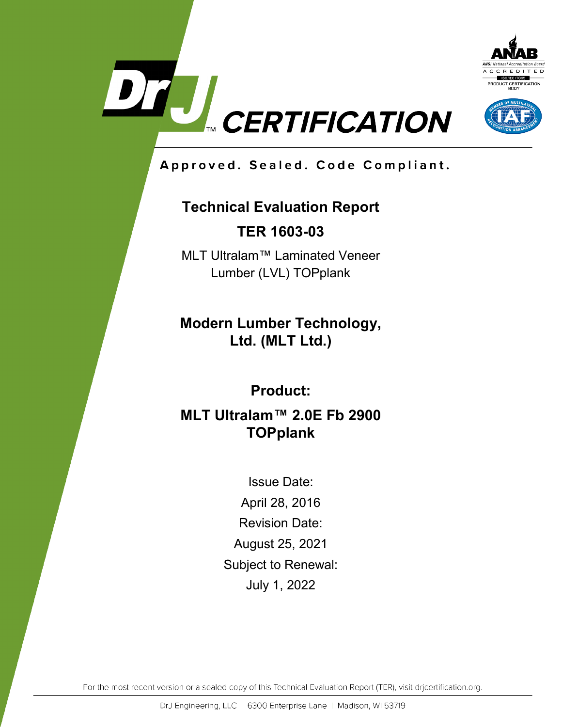



Approved. Sealed. Code Compliant.

# **Technical Evaluation Report**

**TER 1603-03**

MLT Ultralam™ Laminated Veneer Lumber (LVL) TOPplank

**Modern Lumber Technology, Ltd. (MLT Ltd.)**

**Product:**

**MLT Ultralam™ 2.0E Fb 2900 TOPplank**

> Issue Date: April 28, 2016 Revision Date: August 25, 2021 Subject to Renewal: July 1, 2022

For the most recent version or a sealed copy of this Technical Evaluation Report (TER), visit drjcertification.org.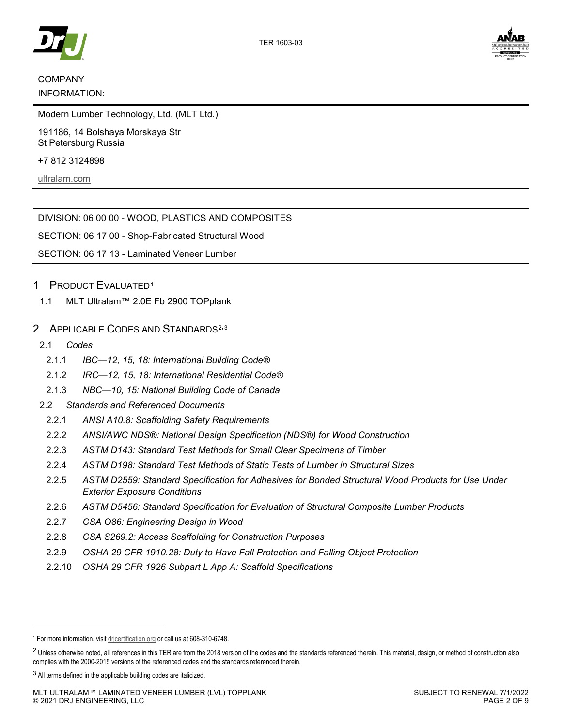



# COMPANY

#### INFORMATION:

Modern Lumber Technology, Ltd. (MLT Ltd.)

191186, 14 Bolshaya Morskaya Str St Petersburg Russia

+7 812 3124898

ultralam.com

DIVISION: 06 00 00 - WOOD, PLASTICS AND COMPOSITES

SECTION: 06 17 00 - Shop-Fabricated Structural Wood

SECTION: 06 17 13 - Laminated Veneer Lumber

### 1 PRODUCT EVALUATED1

- 1.1 MLT Ultralam™ 2.0E Fb 2900 TOPplank
- 2 APPLICABLE CODES AND STANDARDS<sup>2,3</sup>
- 2.1 *Codes*

j

- 2.1.1 *IBC—12, 15, 18: International Building Code®*
- 2.1.2 *IRC—12, 15, 18: International Residential Code®*
- 2.1.3 *NBC—10, 15: National Building Code of Canada*
- 2.2 *Standards and Referenced Documents*
- 2.2.1 *ANSI A10.8: Scaffolding Safety Requirements*
- 2.2.2 *ANSI/AWC NDS®: National Design Specification (NDS®) for Wood Construction*
- 2.2.3 *ASTM D143: Standard Test Methods for Small Clear Specimens of Timber*
- 2.2.4 *ASTM D198: Standard Test Methods of Static Tests of Lumber in Structural Sizes*
- 2.2.5 *ASTM D2559: Standard Specification for Adhesives for Bonded Structural Wood Products for Use Under Exterior Exposure Conditions*
- 2.2.6 *ASTM D5456: Standard Specification for Evaluation of Structural Composite Lumber Products*
- 2.2.7 *CSA O86: Engineering Design in Wood*
- 2.2.8 *CSA S269.2: Access Scaffolding for Construction Purposes*
- 2.2.9 *OSHA 29 CFR 1910.28: Duty to Have Fall Protection and Falling Object Protection*
- 2.2.10 *OSHA 29 CFR 1926 Subpart L App A: Scaffold Specifications*

<sup>1</sup> For more information, visit drjcertification.org or call us at 608-310-6748.

<sup>&</sup>lt;sup>2</sup> Unless otherwise noted, all references in this TER are from the 2018 version of the codes and the standards referenced therein. This material, design, or method of construction also complies with the 2000-2015 versions of the referenced codes and the standards referenced therein.

<sup>&</sup>lt;sup>3</sup> All terms defined in the applicable building codes are italicized.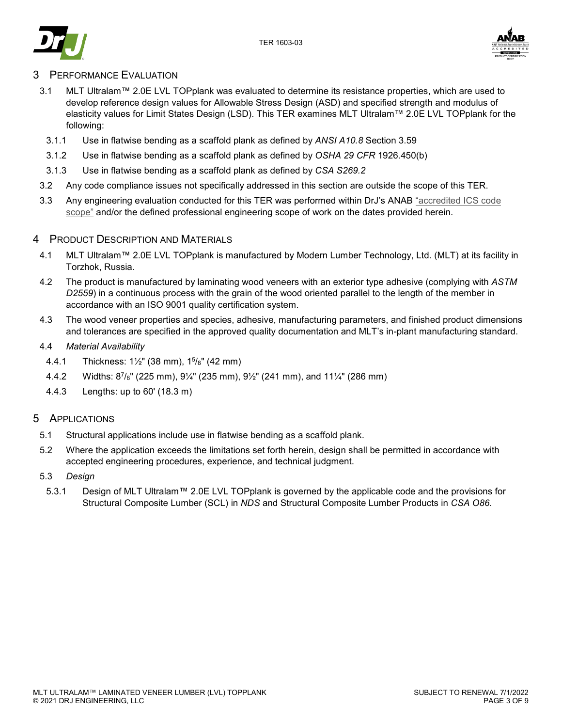



## 3 PERFORMANCE EVALUATION

- 3.1 MLT Ultralam™ 2.0E LVL TOPplank was evaluated to determine its resistance properties, which are used to develop reference design values for Allowable Stress Design (ASD) and specified strength and modulus of elasticity values for Limit States Design (LSD). This TER examines MLT Ultralam™ 2.0E LVL TOPplank for the following:
	- 3.1.1 Use in flatwise bending as a scaffold plank as defined by *ANSI A10.8* Section 3.59
	- 3.1.2 Use in flatwise bending as a scaffold plank as defined by *OSHA 29 CFR* 1926.450(b)
	- 3.1.3 Use in flatwise bending as a scaffold plank as defined by *CSA S269.2*
- 3.2 Any code compliance issues not specifically addressed in this section are outside the scope of this TER.
- 3.3 Any engineering evaluation conducted for this TER was performed within DrJ's ANAB "accredited ICS code scope" and/or the defined professional engineering scope of work on the dates provided herein.

#### 4 PRODUCT DESCRIPTION AND MATERIALS

- 4.1 MLT Ultralam™ 2.0E LVL TOPplank is manufactured by Modern Lumber Technology, Ltd. (MLT) at its facility in Torzhok, Russia.
- 4.2 The product is manufactured by laminating wood veneers with an exterior type adhesive (complying with *ASTM D2559*) in a continuous process with the grain of the wood oriented parallel to the length of the member in accordance with an ISO 9001 quality certification system.
- 4.3 The wood veneer properties and species, adhesive, manufacturing parameters, and finished product dimensions and tolerances are specified in the approved quality documentation and MLT's in-plant manufacturing standard.
- 4.4 *Material Availability*
	- 4.4.1 Thickness: 1½" (38 mm), 15/8" (42 mm)
	- 4.4.2 Widths: 87/8" (225 mm), 9¼" (235 mm), 9½" (241 mm), and 11¼" (286 mm)
	- 4.4.3 Lengths: up to 60' (18.3 m)

## 5 APPLICATIONS

- 5.1 Structural applications include use in flatwise bending as a scaffold plank.
- 5.2 Where the application exceeds the limitations set forth herein, design shall be permitted in accordance with accepted engineering procedures, experience, and technical judgment.
- 5.3 *Design*
	- 5.3.1 Design of MLT Ultralam™ 2.0E LVL TOPplank is governed by the applicable code and the provisions for Structural Composite Lumber (SCL) in *NDS* and Structural Composite Lumber Products in *CSA O86*.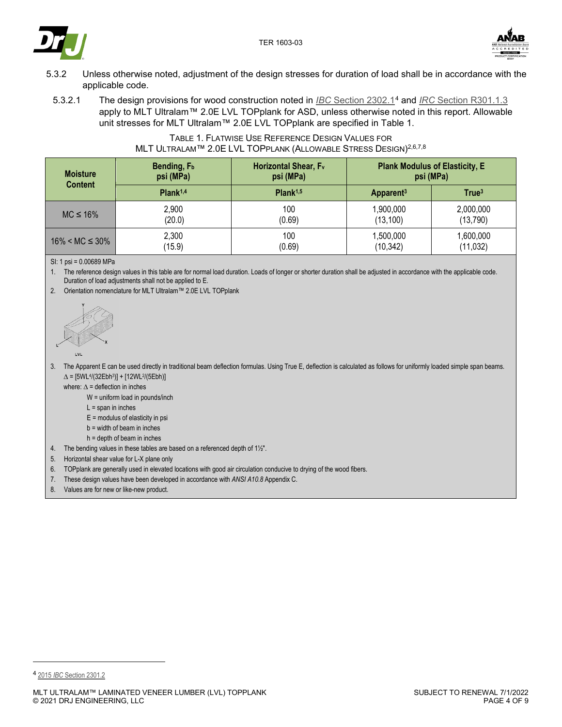



- 5.3.2 Unless otherwise noted, adjustment of the design stresses for duration of load shall be in accordance with the applicable code.
	- 5.3.2.1 The design provisions for wood construction noted in *IBC* Section 2302.14 and *IRC* Section R301.1.3 apply to MLT Ultralam™ 2.0E LVL TOPplank for ASD, unless otherwise noted in this report. Allowable unit stresses for MLT Ultralam™ 2.0E LVL TOPplank are specified in Table 1.

#### TABLE 1. FLATWISE USE REFERENCE DESIGN VALUES FOR MLT ULTRALAM™ 2.0E LVL TOPPLANK (ALLOWABLE STRESS DESIGN)2,6,7,8

| <b>Moisture</b>       | Bending, F <sub>b</sub> | Horizontal Shear, F <sub>v</sub> | <b>Plank Modulus of Elasticity, E</b> |                   |
|-----------------------|-------------------------|----------------------------------|---------------------------------------|-------------------|
| <b>Content</b>        | psi (MPa)               | psi (MPa)                        | psi (MPa)                             |                   |
|                       | Plank <sup>1,4</sup>    | Plank <sup>1,5</sup>             | Apparent <sup>3</sup>                 | True <sup>3</sup> |
| $MC \leq 16\%$        | 2,900                   | 100                              | 1,900,000                             | 2,000,000         |
|                       | (20.0)                  | (0.69)                           | (13, 100)                             | (13,790)          |
| $16\% < MC \leq 30\%$ | 2,300                   | 100                              | 1,500,000                             | 1,600,000         |
|                       | (15.9)                  | (0.69)                           | (10, 342)                             | (11, 032)         |

SI: 1 psi = 0.00689 MPa

1. The reference design values in this table are for normal load duration. Loads of longer or shorter duration shall be adjusted in accordance with the applicable code. Duration of load adjustments shall not be applied to E.

2. Orientation nomenclature for MLT Ultralam™ 2.0E LVL TOPplank



3. The Apparent E can be used directly in traditional beam deflection formulas. Using True E, deflection is calculated as follows for uniformly loaded simple span beams.  $\Delta = [5WL^{4}/(32Ebh^{3})] + [12WL^{2}/(5Ebh)]$ 

where:  $\Delta$  = deflection in inches

W = uniform load in pounds/inch

- $L =$ span in inches
- $E$  = modulus of elasticity in psi
- b = width of beam in inches
- h = depth of beam in inches
- 4. The bending values in these tables are based on a referenced depth of 1½".
- 5. Horizontal shear value for L-X plane only
- 6. TOPplank are generally used in elevated locations with good air circulation conducive to drying of the wood fibers.
- 7. These design values have been developed in accordance with *ANSI A10.8* Appendix C.
- 8. Values are for new or like-new product.

j

<sup>4</sup> 2015 *IBC* Section 2301.2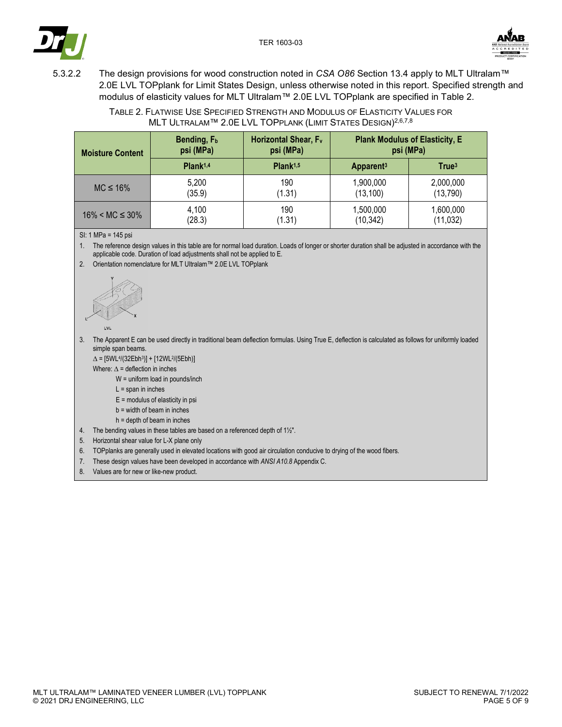



- 
- 5.3.2.2 The design provisions for wood construction noted in *CSA O86* Section 13.4 apply to MLT Ultralam™ 2.0E LVL TOPplank for Limit States Design, unless otherwise noted in this report. Specified strength and modulus of elasticity values for MLT Ultralam™ 2.0E LVL TOPplank are specified in Table 2.

TABLE 2. FLATWISE USE SPECIFIED STRENGTH AND MODULUS OF ELASTICITY VALUES FOR MLT ULTRALAM™ 2.0E LVL TOPPLANK (LIMIT STATES DESIGN)2,6,7,8

| <b>Moisture Content</b> | Bending, F <sub>b</sub> | Horizontal Shear, F <sub>v</sub> | <b>Plank Modulus of Elasticity, E</b> |                   |
|-------------------------|-------------------------|----------------------------------|---------------------------------------|-------------------|
|                         | psi (MPa)               | psi (MPa)                        | psi (MPa)                             |                   |
|                         | Plank <sup>1,4</sup>    | Plank <sup>1,5</sup>             | Apparent <sup>3</sup>                 | True <sup>3</sup> |
| $MC \leq 16\%$          | 5,200                   | 190                              | 1,900,000                             | 2,000,000         |
|                         | (35.9)                  | (1.31)                           | (13, 100)                             | (13, 790)         |
| $16\% < MC \leq 30\%$   | 4,100                   | 190                              | 1,500,000                             | 1,600,000         |
|                         | (28.3)                  | (1.31)                           | (10, 342)                             | (11, 032)         |

SI: 1 MPa = 145 psi

1. The reference design values in this table are for normal load duration. Loads of longer or shorter duration shall be adjusted in accordance with the applicable code. Duration of load adjustments shall not be applied to E.

2. Orientation nomenclature for MLT Ultralam™ 2.0E LVL TOPplank



- 3. The Apparent E can be used directly in traditional beam deflection formulas. Using True E, deflection is calculated as follows for uniformly loaded simple span beams.
	- $\Delta = [5WL^{4}/(32Ebh^{3})] + [12WL^{2}/(5Ebh)]$
	- Where:  $\Delta$  = deflection in inches
		- W = uniform load in pounds/inch
		- $L =$ span in inches
		- $E$  = modulus of elasticity in psi
		- b = width of beam in inches
		- h = depth of beam in inches
- 4. The bending values in these tables are based on a referenced depth of 1½".
- 5. Horizontal shear value for L-X plane only
- 6. TOPplanks are generally used in elevated locations with good air circulation conducive to drying of the wood fibers.
- 7. These design values have been developed in accordance with *ANSI A10.8* Appendix C.
- 8. Values are for new or like-new product.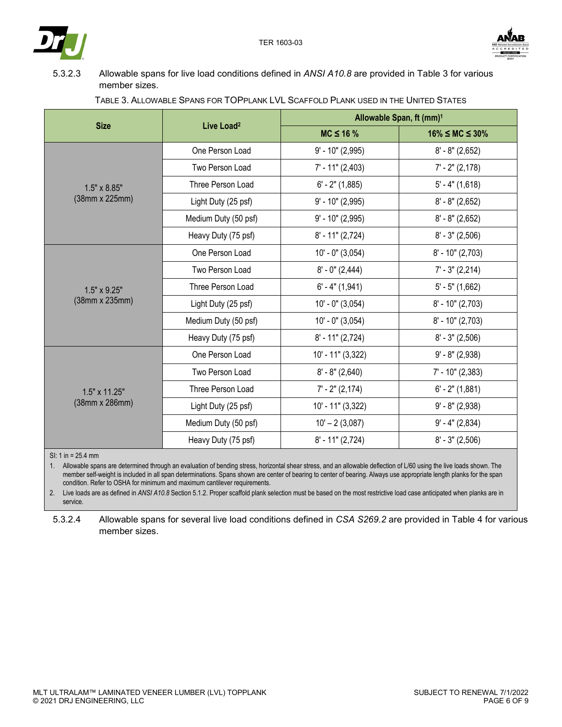



5.3.2.3 Allowable spans for live load conditions defined in *ANSI A10.8* are provided in Table 3 for various member sizes.

|                      |                        | Allowable Span, ft (mm) <sup>1</sup> |                          |  |
|----------------------|------------------------|--------------------------------------|--------------------------|--|
| <b>Size</b>          | Live Load <sup>2</sup> | $MC \leq 16 \%$                      | $16\% \leq MC \leq 30\%$ |  |
|                      | One Person Load        | $9'$ - 10" (2,995)                   | $8' - 8''$ (2,652)       |  |
|                      | Two Person Load        | $7'$ - 11" (2,403)                   | $7' - 2'' (2, 178)$      |  |
| $1.5" \times 8.85"$  | Three Person Load      | $6' - 2''$ (1,885)                   | $5' - 4''$ (1,618)       |  |
| (38mm x 225mm)       | Light Duty (25 psf)    | $9'$ - 10" (2,995)                   | $8' - 8''$ (2,652)       |  |
|                      | Medium Duty (50 psf)   | $9'$ - 10" (2,995)                   | $8' - 8''$ (2,652)       |  |
|                      | Heavy Duty (75 psf)    | $8' - 11''(2,724)$                   | $8' - 3''$ (2,506)       |  |
|                      | One Person Load        | $10' - 0''$ (3,054)                  | $8'$ - 10" (2,703)       |  |
|                      | Two Person Load        | $8' - 0''$ (2,444)                   | $7' - 3'' (2,214)$       |  |
| $1.5" \times 9.25"$  | Three Person Load      | $6' - 4''$ (1,941)                   | $5' - 5''$ (1,662)       |  |
| (38mm x 235mm)       | Light Duty (25 psf)    | $10' - 0''$ (3,054)                  | $8'$ - 10" (2,703)       |  |
|                      | Medium Duty (50 psf)   | $10' - 0''$ (3,054)                  | $8'$ - 10" (2,703)       |  |
|                      | Heavy Duty (75 psf)    | $8' - 11''(2,724)$                   | $8' - 3''$ (2,506)       |  |
|                      | One Person Load        | 10' - 11" (3,322)                    | $9' - 8'' (2,938)$       |  |
|                      | Two Person Load        | $8' - 8''$ (2,640)                   | $7'$ - 10" (2,383)       |  |
| $1.5" \times 11.25"$ | Three Person Load      | $7' - 2'' (2, 174)$                  | $6' - 2''$ (1,881)       |  |
| (38mm x 286mm)       | Light Duty (25 psf)    | 10' - 11" (3,322)                    | $9' - 8'' (2,938)$       |  |
|                      | Medium Duty (50 psf)   | $10' - 2(3,087)$                     | $9' - 4'' (2,834)$       |  |
|                      | Heavy Duty (75 psf)    | $8' - 11''(2,724)$                   | $8' - 3''$ (2,506)       |  |

## TABLE 3. ALLOWABLE SPANS FOR TOPPLANK LVL SCAFFOLD PLANK USED IN THE UNITED STATES

SI: 1 in = 25.4 mm

1. Allowable spans are determined through an evaluation of bending stress, horizontal shear stress, and an allowable deflection of L/60 using the live loads shown. The member self-weight is included in all span determinations. Spans shown are center of bearing to center of bearing. Always use appropriate length planks for the span condition. Refer to OSHA for minimum and maximum cantilever requirements.

2. Live loads are as defined in *ANSI A10.8* Section 5.1.2. Proper scaffold plank selection must be based on the most restrictive load case anticipated when planks are in service.

5.3.2.4 Allowable spans for several live load conditions defined in *CSA S269.2* are provided in Table 4 for various member sizes.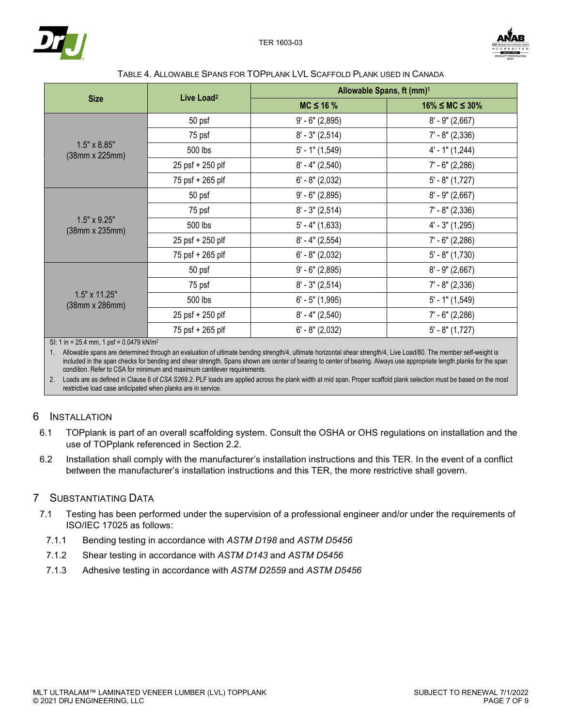



#### TABLE 4. ALLOWABLE SPANS FOR TOPPLANK LVL SCAFFOLD PLANK USED IN CANADA

|                                               | Live Load <sup>2</sup> | Allowable Spans, ft (mm) <sup>1</sup> |                          |  |
|-----------------------------------------------|------------------------|---------------------------------------|--------------------------|--|
| <b>Size</b>                                   |                        | $MC \leq 16 \%$                       | $16\% \leq MC \leq 30\%$ |  |
|                                               | 50 psf                 | $9' - 6'' (2,895)$                    | $8'$ - $9''(2,667)$      |  |
|                                               | 75 psf                 | $8' - 3''$ (2,514)                    | $7' - 8''$ (2,336)       |  |
| $1.5" \times 8.85"$<br>(38mm x 225mm)         | 500 lbs                | $5'$ - 1" (1,549)                     | $4'$ - 1" (1,244)        |  |
|                                               | 25 psf + 250 plf       | $8' - 4'' (2,540)$                    | $7' - 6''$ (2,286)       |  |
|                                               | 75 psf + 265 plf       | $6' - 8''$ (2,032)                    | $5' - 8''(1,727)$        |  |
|                                               | 50 psf                 | $9' - 6''$ (2,895)                    | $8' - 9''(2,667)$        |  |
|                                               | 75 psf                 | $8' - 3''$ (2,514)                    | $7' - 8''$ (2,336)       |  |
| $1.5" \times 9.25"$<br>$(38mm \times 235mm)$  | 500 lbs                | $5'$ - 4" (1,633)                     | $4' - 3''(1,295)$        |  |
|                                               | 25 psf + 250 plf       | $8' - 4'' (2, 554)$                   | $7' - 6''$ (2,286)       |  |
|                                               | 75 psf + 265 plf       | $6' - 8'' (2,032)$                    | $5' - 8''(1,730)$        |  |
|                                               | 50 psf                 | $9' - 6''$ (2,895)                    | $8' - 9'' (2,667)$       |  |
|                                               | 75 psf                 | $8' - 3''$ (2,514)                    | $7' - 8''$ (2,336)       |  |
| $1.5" \times 11.25"$<br>$(38mm \times 286mm)$ | 500 lbs                | $6'$ - 5" (1,995)                     | $5'$ - 1" (1,549)        |  |
|                                               | 25 psf + 250 plf       | $8' - 4'' (2,540)$                    | $7'$ - 6" (2,286)        |  |
|                                               | 75 psf + 265 plf       | $6' - 8''$ (2,032)                    | $5' - 8''(1,727)$        |  |

SI: 1 in = 25.4 mm, 1 psf = 0.0479 kN/m2

1. Allowable spans are determined through an evaluation of ultimate bending strength/4, ultimate horizontal shear strength/4, Live Load/80. The member self-weight is included in the span checks for bending and shear strength. Spans shown are center of bearing to center of bearing. Always use appropriate length planks for the span condition. Refer to CSA for minimum and maximum cantilever requirements.

2. Loads are as defined in Clause 6 of *CSA S269.2*. PLF loads are applied across the plank width at mid span. Proper scaffold plank selection must be based on the most restrictive load case anticipated when planks are in service.

## 6 INSTALLATION

- 6.1 TOPplank is part of an overall scaffolding system. Consult the OSHA or OHS regulations on installation and the use of TOPplank referenced in Section 2.2.
- 6.2 Installation shall comply with the manufacturer's installation instructions and this TER. In the event of a conflict between the manufacturer's installation instructions and this TER, the more restrictive shall govern.

## 7 SUBSTANTIATING DATA

- 7.1 Testing has been performed under the supervision of a professional engineer and/or under the requirements of ISO/IEC 17025 as follows:
- 7.1.1 Bending testing in accordance with *ASTM D198* and *ASTM D5456*
- 7.1.2 Shear testing in accordance with *ASTM D143* and *ASTM D5456*
- 7.1.3 Adhesive testing in accordance with *ASTM D2559* and *ASTM D5456*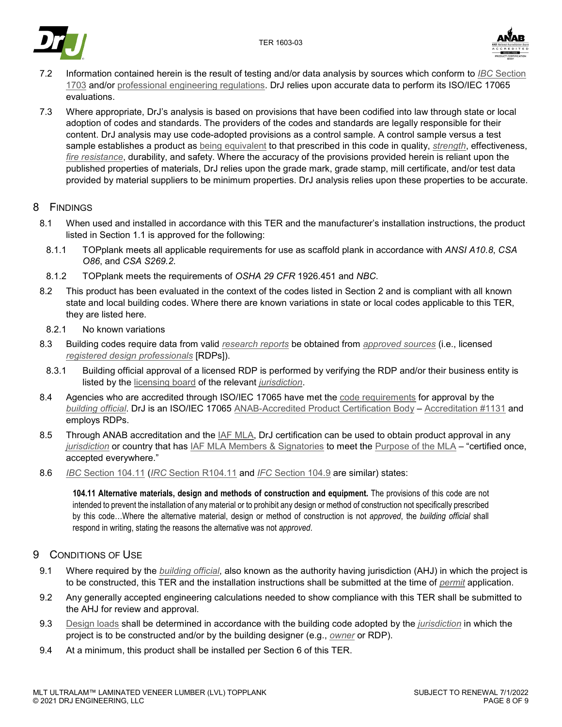



- 7.2 Information contained herein is the result of testing and/or data analysis by sources which conform to *IBC* Section 1703 and/or professional engineering regulations. DrJ relies upon accurate data to perform its ISO/IEC 17065 evaluations.
- 7.3 Where appropriate, DrJ's analysis is based on provisions that have been codified into law through state or local adoption of codes and standards. The providers of the codes and standards are legally responsible for their content. DrJ analysis may use code-adopted provisions as a control sample. A control sample versus a test sample establishes a product as being equivalent to that prescribed in this code in quality, *strength*, effectiveness, *fire resistance*, durability, and safety. Where the accuracy of the provisions provided herein is reliant upon the published properties of materials, DrJ relies upon the grade mark, grade stamp, mill certificate, and/or test data provided by material suppliers to be minimum properties. DrJ analysis relies upon these properties to be accurate.

## 8 FINDINGS

- 8.1 When used and installed in accordance with this TER and the manufacturer's installation instructions, the product listed in Section 1.1 is approved for the following:
	- 8.1.1 TOPplank meets all applicable requirements for use as scaffold plank in accordance with *ANSI A10.8*, *CSA O86*, and *CSA S269.2*.
	- 8.1.2 TOPplank meets the requirements of *OSHA 29 CFR* 1926.451 and *NBC*.
- 8.2 This product has been evaluated in the context of the codes listed in Section 2 and is compliant with all known state and local building codes. Where there are known variations in state or local codes applicable to this TER, they are listed here.
- 8.2.1 No known variations
- 8.3 Building codes require data from valid *research reports* be obtained from *approved sources* (i.e., licensed *registered design professionals* [RDPs]).
- 8.3.1 Building official approval of a licensed RDP is performed by verifying the RDP and/or their business entity is listed by the licensing board of the relevant *jurisdiction*.
- 8.4 Agencies who are accredited through ISO/IEC 17065 have met the code requirements for approval by the *building official*. DrJ is an ISO/IEC 17065 ANAB-Accredited Product Certification Body – Accreditation #1131 and employs RDPs.
- 8.5 Through ANAB accreditation and the IAF MLA, DrJ certification can be used to obtain product approval in any *jurisdiction* or country that has IAF MLA Members & Signatories to meet the Purpose of the MLA – "certified once, accepted everywhere."
- 8.6 *IBC* Section 104.11 (*IRC* Section R104.11 and *IFC* Section 104.9 are similar) states:

**104.11 Alternative materials, design and methods of construction and equipment.** The provisions of this code are not intended to prevent the installation of any material or to prohibit any design or method of construction not specifically prescribed by this code…Where the alternative material, design or method of construction is not *approved*, the *building official* shall respond in writing, stating the reasons the alternative was not *approved*.

## 9 CONDITIONS OF USE

- 9.1 Where required by the *building official*, also known as the authority having jurisdiction (AHJ) in which the project is to be constructed, this TER and the installation instructions shall be submitted at the time of *permit* application.
- 9.2 Any generally accepted engineering calculations needed to show compliance with this TER shall be submitted to the AHJ for review and approval.
- 9.3 Design loads shall be determined in accordance with the building code adopted by the *jurisdiction* in which the project is to be constructed and/or by the building designer (e.g., *owner* or RDP).
- 9.4 At a minimum, this product shall be installed per Section 6 of this TER.